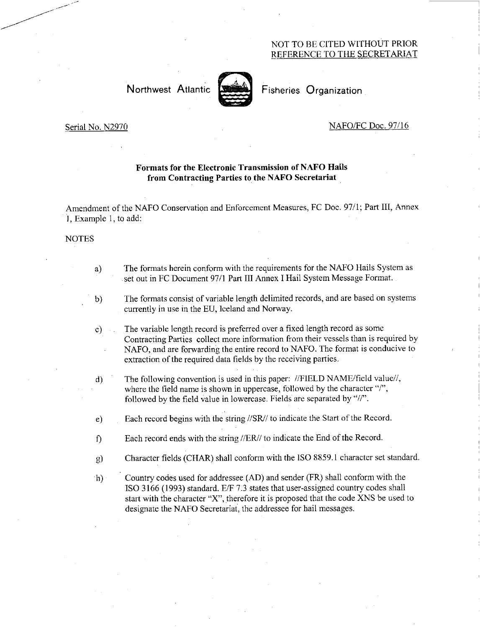### NOT TO BE CITED WITHOUT PRIOR REFERENCE TO THE SECRETARIAT

# Northwest Atlantic Fisheries Organization



#### Serial No. N2970 NAFO/FC Doc. 97/16

# Formats for the Electronic Transmission of NAFO Hails from Contracting Parties to the NAFO Secretariat

Amendment of the NAFO Conservation and Enforcement Measures, FC Doc. 97/1; Part III, Annex Example 1, to add:

#### NOTES

- The formats herein conform with the requirements for the NAFO Hails System as a) set out in FC Document 97/1 Part III Annex I Hail System Message Format.
- The formats consist of variable length delimited records, and are based on systems  $b)$ currently in use in the EU, Iceland and Norway.
- The variable length record is preferred over a fixed length record as some  $c)$ Contracting Parties collect more information from their vessels than is required by NAFO, and are forwarding the entire record to NAFO. The format is conducive to extraction of the required data fields by the receiving parties.
- $\mathbf{d}$ The following convention is used in this paper: //FIELD NAME/field value//, where the field name is shown in uppercase, followed by the character "/", followed by the field value in lowercase. Fields are separated by "//".
- e) Each record begins with the string //SR// to indicate the Start of the Record.
- f) Each record ends with the string //ER// to indicate the End of the Record.
- g) Character fields (CHAR) shall conform with the ISO 8859.1 character set standard.
- h) Country codes used for addressee (AD) and sender (FR) shall conform with the ISO 3166 (1993) standard. E/F 7.3 states that user-assigned country codes shall start with the character "X", therefore it is proposed that the code XNS be used to designate the NAFO Secretariat, the addressee for hail messages.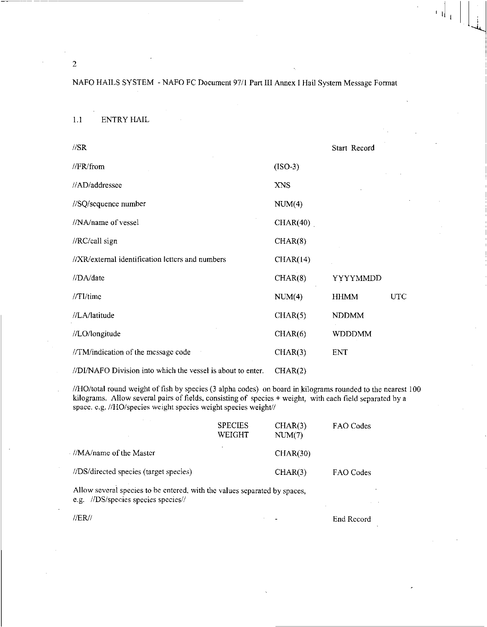| $\sqrt{SR}$                                                 |            | Start Record  |     |
|-------------------------------------------------------------|------------|---------------|-----|
| //FR/from                                                   | $(ISO-3)$  |               |     |
| //AD/addressee                                              | <b>XNS</b> |               |     |
| //SQ/sequence number                                        | NUM(4)     |               |     |
| //NA/name of vessel                                         | CHAR(40)   |               |     |
| //RC/call sign                                              | CHAR(8)    |               |     |
| //XR/external identification letters and numbers            | CHAR(14)   |               |     |
| //DA/date                                                   | CHAR(8)    | YYYYMMDD      |     |
| $//TL$ time                                                 | NUM(4)     | <b>HHMM</b>   | UTC |
| //LA/latitude                                               | CHAR(5)    | <b>NDDMM</b>  |     |
| //LO/longitude                                              | CHAR(6)    | <b>WDDDMM</b> |     |
| //TM/indication of the message code                         | CHAR(3)    | ENT           |     |
| //DI/NAFO Division into which the vessel is about to enter. | CHAR(2)    |               |     |

//HO/total round weight of fish by species (3 alpha codes) on board in kilograms rounded to the nearest 100 kilograms. Allow several pairs of fields, consisting of species + weight, with each field separated by a space. e.g. //HO/species weight species weight species weight//

|                                                                                            | <b>SPECIES</b><br>WEIGHT | CHAR(3)<br>NUM(7) | FAO Codes |
|--------------------------------------------------------------------------------------------|--------------------------|-------------------|-----------|
| //MA/name of the Master                                                                    |                          | CHAR(30)          |           |
| //DS/directed species (target species)                                                     |                          | CHAR(3)           | FAO Codes |
| Allow several species to be entered, with the values separated by spaces,<br>$\frac{1}{2}$ |                          |                   |           |

e.g. //DS/species species species//

//ER// End Record

 $\begin{array}{c} \begin{array}{c} 1 \\ 1 \end{array} \end{array}$ 

2

1.1 ENTRY HAIL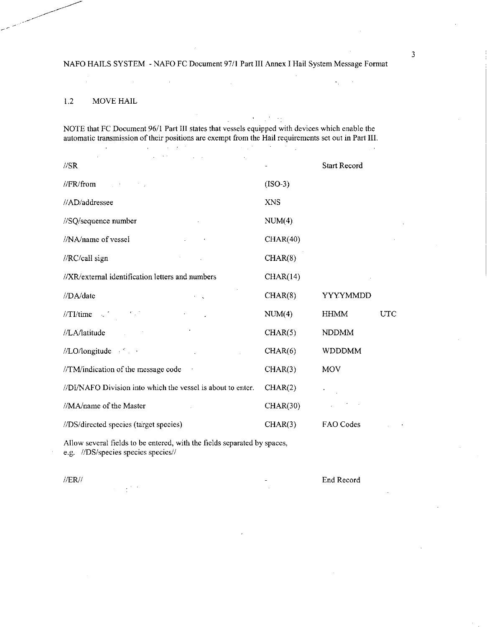# 1.2 MOVE HAIL

NOTE that FC Document 96/1 Part III states that vessels equipped with devices which enable the automatic transmission of their positions are exempt from the Hail requirements set out in Part III.  $\sim 10^{-4}$  $\Delta \sim 10^{11}$ //SR Start Record  $\sqrt{\text{FR}}$  (ISO-3) (ISO-3) //AD/addressee XNS  $\frac{1}{SQ}$ /sequence number NUM(4) //NA/name of vessel CHAR(40) //RC/call sign CHAR(8) //XR/extemal identification letters and numbers CHAR(14) //DA/date CHAR(8) YYYYMMDD  $\text{NUM}(4)$  HHMM UTC //LA/latitude CHAR(5) NDDMM //LO/longitude CHAR(6) WDDDMM  $\frac{1}{T}$ M/indication of the message code CHAR(3) MOV //DI/NAFO Division into which the vessel is about to enter. CHAR(2)  $\frac{1}{\text{MA}/\text{name of the Master}}$  CHAR(30)  $\mathcal{L}$ //DS/directed species (target species) CHAR(3) FAO Codes

Allow several fields to be entered, with the fields separated by spaces, e.g. //DS/species species species//

//ER// End Record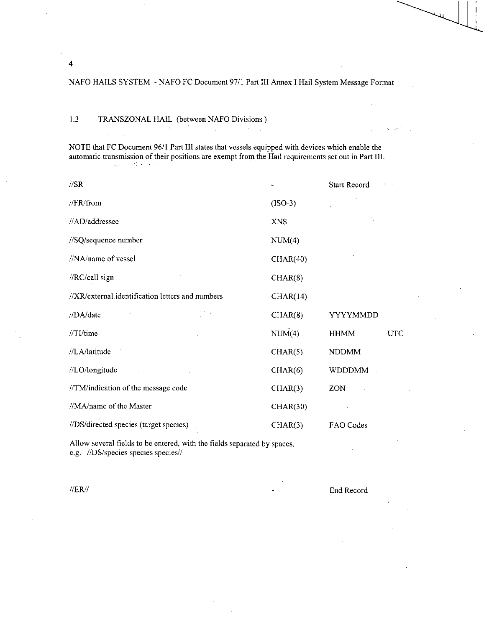$\mathcal{L}^{\pm}$ 

# 1.3 TRANSZONAL HAIL (between NAFO Divisions )

NOTE that FC Document 96/1 Part III states that vessels equipped with devices which enable the automatic transmission of their positions are exempt from the Hail requirements set out in Part III.

| $\sqrt{SR}$                                      |            | Start Record       |
|--------------------------------------------------|------------|--------------------|
| //FR/from                                        | $(ISO-3)$  |                    |
| //AD/addressee                                   | <b>XNS</b> | ta a               |
| //SQ/sequence number                             | NUM(4)     |                    |
| //NA/name of vessel                              | CHAR(40)   |                    |
| //RC/call sign                                   | CHAR(8)    |                    |
| //XR/external.identification letters and numbers | CHAR(14)   |                    |
| //DA/date                                        | CHAR(8)    | YYYYMMDD           |
| $//TI$ /time<br>in Co                            | NUM(4)     | UTC<br><b>HHMM</b> |
| //LA/latitude                                    | CHAR(5)    | <b>NDDMM</b>       |
| //LO/longitude                                   | CHAR(6)    | <b>WDDDMM</b>      |
| //TM/indication of the message code              | CHAR(3)    | ZON                |
| //MA/name of the Master                          | CHAR(30)   |                    |
| //DS/directed species (target species)           | CHAR(3)    | FAO Codes          |

Allow several fields to be entered, with the fields separated by spaces, e.g. //DS/species species species//

//ER// End Record

Albert Co

4

 $\sim$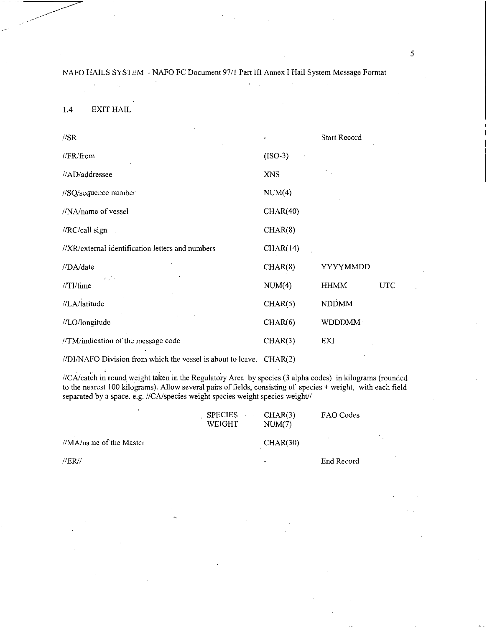$\mathbf{r} = \mathbf{r}_1$ 

1.4 EXIT HAIL

| $\sqrt{SR}$                                      |            | <b>Start Record</b> |     |
|--------------------------------------------------|------------|---------------------|-----|
| //FR/from                                        | $(ISO-3)$  |                     |     |
| //AD/addressee                                   | <b>XNS</b> |                     |     |
| //SQ/sequence number                             | NUM(4)     |                     |     |
| //NA/name of vessel                              | CHAR(40)   |                     |     |
| //RC/call sign                                   | CHAR(8)    |                     |     |
| //XR/external identification letters and numbers | CHAR(14)   |                     |     |
| //DA/date                                        | CHAR(8)    | YYYYMMDD            |     |
| $\mathcal{L}^{\text{max}}$<br>$/$ TI/time        | NUM(4)     | <b>HHMM</b>         | UTC |
| //LA/latitude                                    | CHAR(5)    | <b>NDDMM</b>        |     |
| //LO/longitude                                   | CHAR(6)    | WDDDMM              |     |
| //TM/indication of the message code              | CHAR(3)    | EXI                 |     |

//DI/NAFO Division from which the vessel is about to leave. CHAR(2)

//CA/catch in round, weight taken in the Regulatory Area by species (3 alpha codes) in kilograms (rounded to the nearest 100 kilograms). Allow several pairs of fields, consisting of species + weight, with each field separated by a space. e.g. //CA/species weight species weight species weight//

|                         | <b>SPECIES</b><br>WEIGHT | CHAR(3)<br>NUM(7) | FAO Codes  |            |
|-------------------------|--------------------------|-------------------|------------|------------|
| //MA/name of the Master |                          | CHAR(30)          |            | $\epsilon$ |
| $\sqrt{ER}}$            |                          | ۰                 | End Record |            |